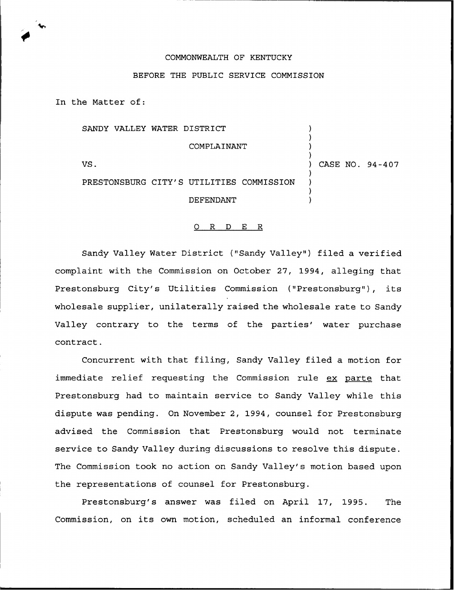## COMMONWEALTH OF KENTUCKY

## BEFORE THE PUBLIC SERVICE COMMISSION

In the Matter of:

|     | SANDY VALLEY WATER DISTRICT              |                 |
|-----|------------------------------------------|-----------------|
|     | COMPLAINANT                              |                 |
| VS. |                                          | CASE NO. 94-407 |
|     | PRESTONSBURG CITY'S UTILITIES COMMISSION |                 |
|     | DEFENDANT                                |                 |

## 0 R <sup>D</sup> E R

Sandy Valley Water District ("Sandy Valley"} filed a verified complaint with the Commission on October 27, 1994, alleging that Prestonsburg City's Utilities Commission ("Prestonsburg"}, its wholesale supplier, unilaterally raised the wholesale rate to Sandy Valley contrary to the terms of the parties' water purchase contract.

Concurrent with that filing, Sandy Valley filed a motion for immediate relief requesting the Commission rule ex parte that Prestonsburg had to maintain service to Sandy Valley while this dispute was pending. On November 2, 1994, counsel for Prestonsburg advised the Commission that Prestonsburg would not terminate service to Sandy Valley during discussions to resolve this dispute. The Commission took no action on Sandy Valley's motion based upon the representations of counsel for Prestonsburg.

Prestonsburg's answer was filed on April 17, 1995. The Commission, on its own motion, scheduled an informal conference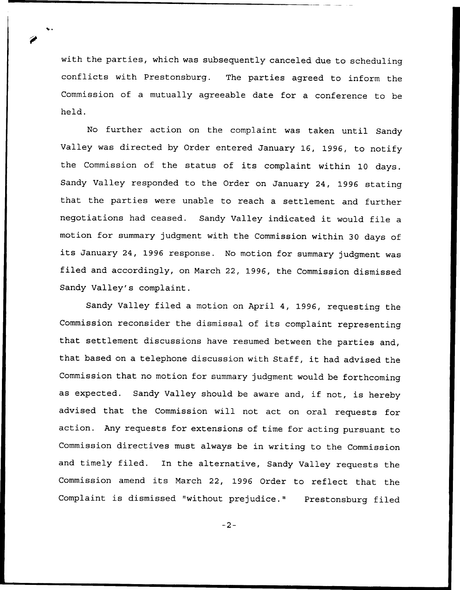with the parties, which was subsequently canceled due to scheduling conflicts with Prestonsburg. The parties agreed to inform the Commission of a mutually agreeable date for a conference to be held.

No further action on the complaint was taken until Sandy Valley was directed by Order entered January 16, 1996, to notify the Commission of the status of its complaint within 10 days. Sandy Valley responded to the Order on January 24, 1996 stating that the parties were unable to reach a settlement and further negotiations had ceased. Sandy Valley indicated it would file <sup>a</sup> motion for summary judgment with the Commission within 30 days of its January 24, <sup>1996</sup> response. No motion for summary judgment was filed and accordingly, on March 22, 1996, the Commission dismissed Sandy Valley's complaint.

Sandy Valley filed a motion on April 4, 1996, requesting the Commission reconsider the dismissal of its complaint representing that settlement discussions have resumed between the parties and, that based on <sup>a</sup> telephone discussion with Staff, it had advised the Commission that no motion for summary judgment would be forthcoming as expected. Sandy Valley should be aware and, if not, is hereby advised that the Commission will not act on oral requests for action. Any requests for extensions of time for acting pursuant to Commission directives must always be in writing to the Commission and timely filed. In the alternative, Sandy Valley requests the Commission amend its March 22, <sup>1996</sup> Order to reflect that the Complaint is dismissed "without prejudice." Prestonsburg filed

 $-2-$